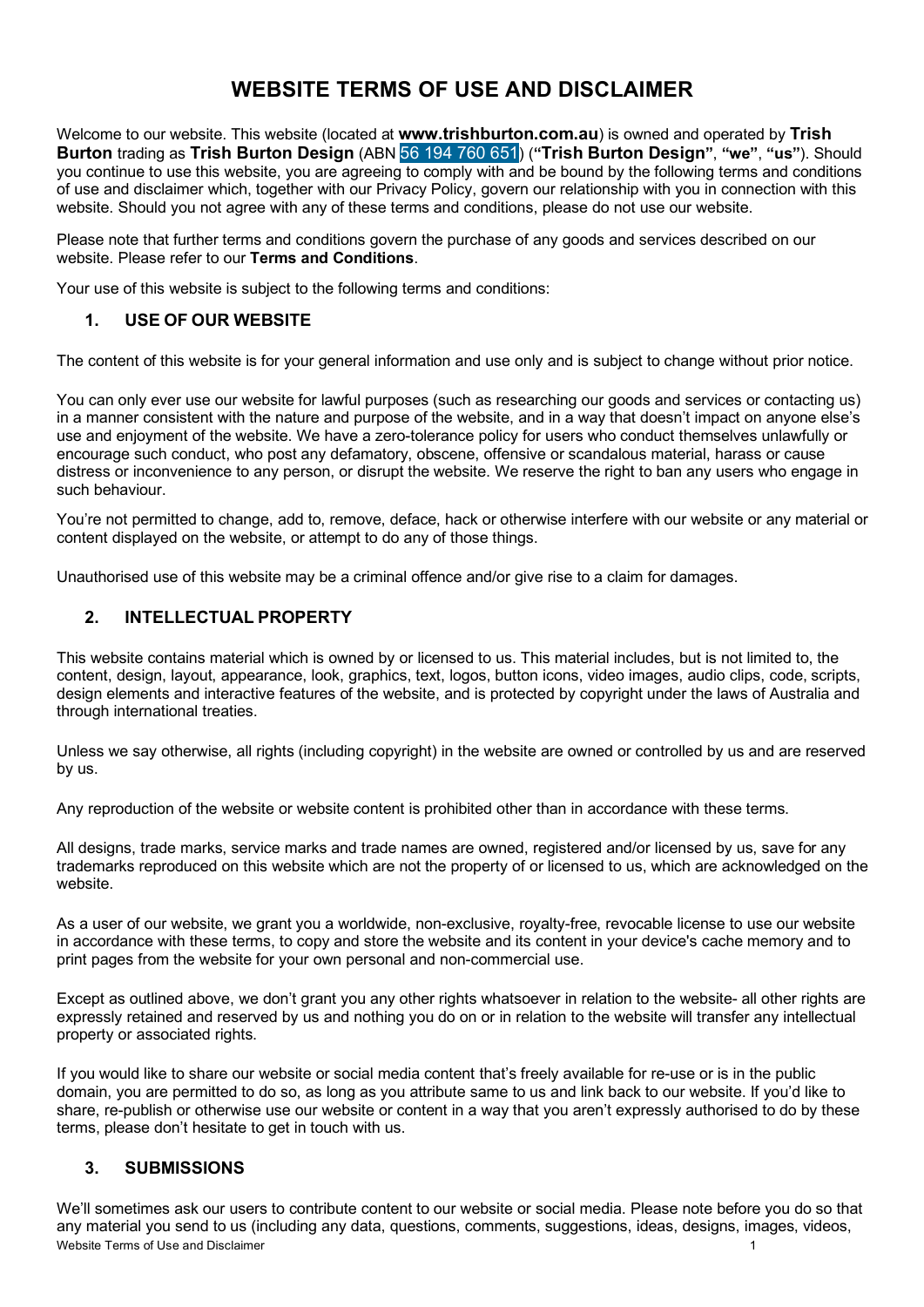# **WEBSITE TERMS OF USE AND DISCLAIMER**

Welcome to our website. This website (located at **www.trishburton.com.au**) is owned and operated by **Trish Burton** trading as **Trish Burton Design** (ABN 56 194 760 651) (**"Trish Burton Design"**, **"we"**, **"us"**). Should you continue to use this website, you are agreeing to comply with and be bound by the following terms and conditions of use and disclaimer which, together with our Privacy Policy, govern our relationship with you in connection with this website. Should you not agree with any of these terms and conditions, please do not use our website.

Please note that further terms and conditions govern the purchase of any goods and services described on our website. Please refer to our **Terms and Conditions**.

Your use of this website is subject to the following terms and conditions:

### **1. USE OF OUR WEBSITE**

The content of this website is for your general information and use only and is subject to change without prior notice.

You can only ever use our website for lawful purposes (such as researching our goods and services or contacting us) in a manner consistent with the nature and purpose of the website, and in a way that doesn't impact on anyone else's use and enjoyment of the website. We have a zero-tolerance policy for users who conduct themselves unlawfully or encourage such conduct, who post any defamatory, obscene, offensive or scandalous material, harass or cause distress or inconvenience to any person, or disrupt the website. We reserve the right to ban any users who engage in such behaviour.

You're not permitted to change, add to, remove, deface, hack or otherwise interfere with our website or any material or content displayed on the website, or attempt to do any of those things.

Unauthorised use of this website may be a criminal offence and/or give rise to a claim for damages.

## **2. INTELLECTUAL PROPERTY**

This website contains material which is owned by or licensed to us. This material includes, but is not limited to, the content, design, layout, appearance, look, graphics, text, logos, button icons, video images, audio clips, code, scripts, design elements and interactive features of the website, and is protected by copyright under the laws of Australia and through international treaties.

Unless we say otherwise, all rights (including copyright) in the website are owned or controlled by us and are reserved by us.

Any reproduction of the website or website content is prohibited other than in accordance with these terms.

All designs, trade marks, service marks and trade names are owned, registered and/or licensed by us, save for any trademarks reproduced on this website which are not the property of or licensed to us, which are acknowledged on the website.

As a user of our website, we grant you a worldwide, non-exclusive, royalty-free, revocable license to use our website in accordance with these terms, to copy and store the website and its content in your device's cache memory and to print pages from the website for your own personal and non-commercial use.

Except as outlined above, we don't grant you any other rights whatsoever in relation to the website- all other rights are expressly retained and reserved by us and nothing you do on or in relation to the website will transfer any intellectual property or associated rights.

If you would like to share our website or social media content that's freely available for re-use or is in the public domain, you are permitted to do so, as long as you attribute same to us and link back to our website. If you'd like to share, re-publish or otherwise use our website or content in a way that you aren't expressly authorised to do by these terms, please don't hesitate to get in touch with us.

## **3. SUBMISSIONS**

Website Terms of Use and Disclaimer 1 We'll sometimes ask our users to contribute content to our website or social media. Please note before you do so that any material you send to us (including any data, questions, comments, suggestions, ideas, designs, images, videos,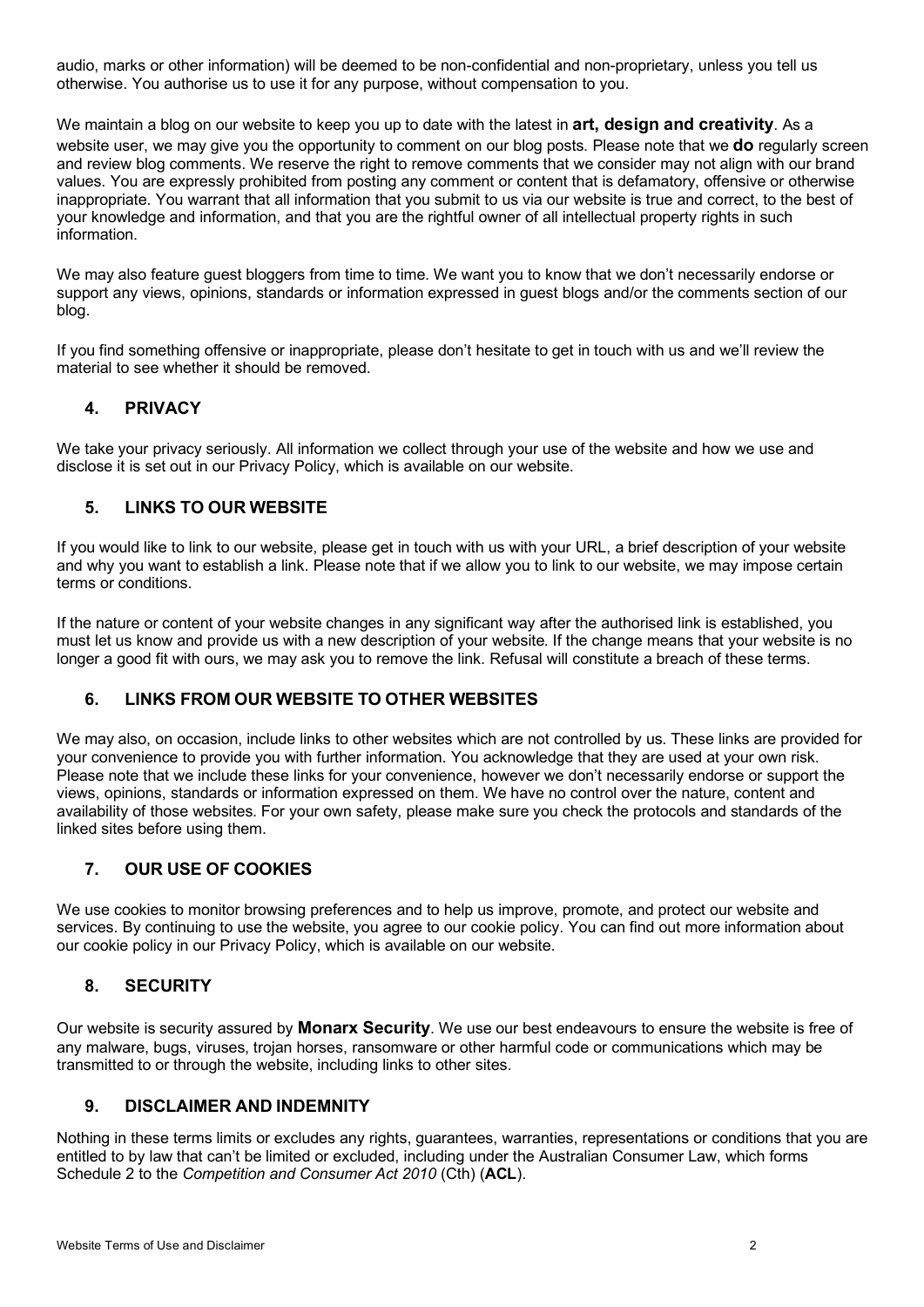audio, marks or other information) will be deemed to be non-confidential and non-proprietary, unless you tell us otherwise. You authorise us to use it for any purpose, without compensation to you.

We maintain a blog on our website to keep you up to date with the latest in **art, design and creativity**. As a website user, we may give you the opportunity to comment on our blog posts. Please note that we **do** regularly screen and review blog comments. We reserve the right to remove comments that we consider may not align with our brand values. You are expressly prohibited from posting any comment or content that is defamatory, offensive or otherwise inappropriate. You warrant that all information that you submit to us via our website is true and correct, to the best of your knowledge and information, and that you are the rightful owner of all intellectual property rights in such information.

We may also feature guest bloggers from time to time. We want you to know that we don't necessarily endorse or support any views, opinions, standards or information expressed in guest blogs and/or the comments section of our blog.

If you find something offensive or inappropriate, please don't hesitate to get in touch with us and we'll review the material to see whether it should be removed.

## **4. PRIVACY**

We take your privacy seriously. All information we collect through your use of the website and how we use and disclose it is set out in our Privacy Policy, which is available on our website.

## **5. LINKS TO OUR WEBSITE**

If you would like to link to our website, please get in touch with us with your URL, a brief description of your website and why you want to establish a link. Please note that if we allow you to link to our website, we may impose certain terms or conditions.

If the nature or content of your website changes in any significant way after the authorised link is established, you must let us know and provide us with a new description of your website. If the change means that your website is no longer a good fit with ours, we may ask you to remove the link. Refusal will constitute a breach of these terms.

## **6. LINKS FROM OUR WEBSITE TO OTHER WEBSITES**

We may also, on occasion, include links to other websites which are not controlled by us. These links are provided for your convenience to provide you with further information. You acknowledge that they are used at your own risk. Please note that we include these links for your convenience, however we don't necessarily endorse or support the views, opinions, standards or information expressed on them. We have no control over the nature, content and availability of those websites. For your own safety, please make sure you check the protocols and standards of the linked sites before using them.

## **7. OUR USE OF COOKIES**

We use cookies to monitor browsing preferences and to help us improve, promote, and protect our website and services. By continuing to use the website, you agree to our cookie policy. You can find out more information about our cookie policy in our Privacy Policy, which is available on our website.

#### **8. SECURITY**

Our website is security assured by **Monarx Security**. We use our best endeavours to ensure the website is free of any malware, bugs, viruses, trojan horses, ransomware or other harmful code or communications which may be transmitted to or through the website, including links to other sites.

#### **9. DISCLAIMER AND INDEMNITY**

Nothing in these terms limits or excludes any rights, guarantees, warranties, representations or conditions that you are entitled to by law that can't be limited or excluded, including under the Australian Consumer Law, which forms Schedule 2 to the *Competition and Consumer Act 2010* (Cth) (**ACL**).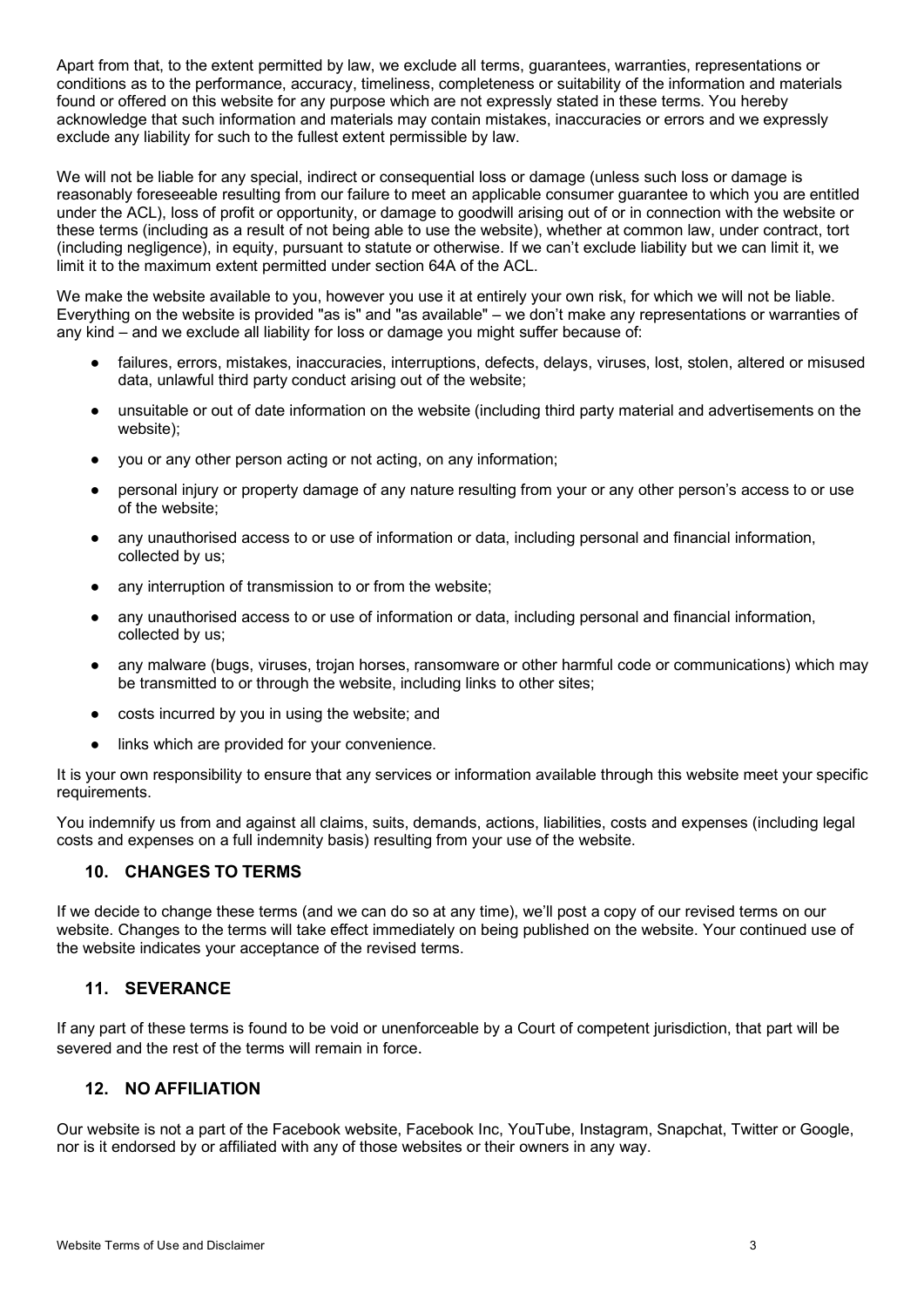Apart from that, to the extent permitted by law, we exclude all terms, guarantees, warranties, representations or conditions as to the performance, accuracy, timeliness, completeness or suitability of the information and materials found or offered on this website for any purpose which are not expressly stated in these terms. You hereby acknowledge that such information and materials may contain mistakes, inaccuracies or errors and we expressly exclude any liability for such to the fullest extent permissible by law.

We will not be liable for any special, indirect or consequential loss or damage (unless such loss or damage is reasonably foreseeable resulting from our failure to meet an applicable consumer guarantee to which you are entitled under the ACL), loss of profit or opportunity, or damage to goodwill arising out of or in connection with the website or these terms (including as a result of not being able to use the website), whether at common law, under contract, tort (including negligence), in equity, pursuant to statute or otherwise. If we can't exclude liability but we can limit it, we limit it to the maximum extent permitted under section 64A of the ACL.

We make the website available to you, however you use it at entirely your own risk, for which we will not be liable. Everything on the website is provided "as is" and "as available" – we don't make any representations or warranties of any kind – and we exclude all liability for loss or damage you might suffer because of:

- failures, errors, mistakes, inaccuracies, interruptions, defects, delays, viruses, lost, stolen, altered or misused data, unlawful third party conduct arising out of the website;
- unsuitable or out of date information on the website (including third party material and advertisements on the website);
- you or any other person acting or not acting, on any information;
- personal injury or property damage of any nature resulting from your or any other person's access to or use of the website;
- any unauthorised access to or use of information or data, including personal and financial information, collected by us;
- any interruption of transmission to or from the website;
- any unauthorised access to or use of information or data, including personal and financial information, collected by us;
- any malware (bugs, viruses, trojan horses, ransomware or other harmful code or communications) which may be transmitted to or through the website, including links to other sites;
- costs incurred by you in using the website; and
- links which are provided for your convenience.

It is your own responsibility to ensure that any services or information available through this website meet your specific requirements.

You indemnify us from and against all claims, suits, demands, actions, liabilities, costs and expenses (including legal costs and expenses on a full indemnity basis) resulting from your use of the website.

## **10. CHANGES TO TERMS**

If we decide to change these terms (and we can do so at any time), we'll post a copy of our revised terms on our website. Changes to the terms will take effect immediately on being published on the website. Your continued use of the website indicates your acceptance of the revised terms.

#### **11. SEVERANCE**

If any part of these terms is found to be void or unenforceable by a Court of competent jurisdiction, that part will be severed and the rest of the terms will remain in force.

## **12. NO AFFILIATION**

Our website is not a part of the Facebook website, Facebook Inc, YouTube, Instagram, Snapchat, Twitter or Google, nor is it endorsed by or affiliated with any of those websites or their owners in any way.